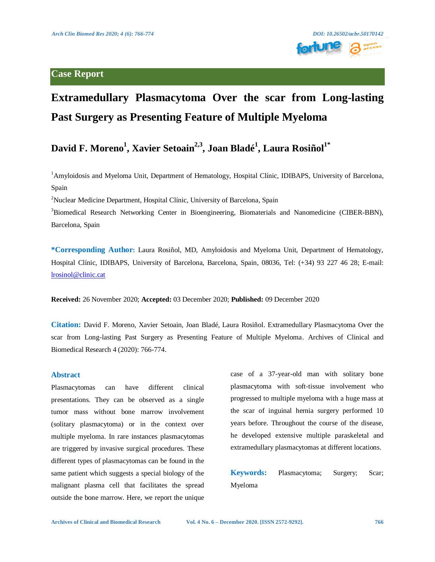### **Case Report**



# **Extramedullary Plasmacytoma Over the scar from Long-lasting Past Surgery as Presenting Feature of Multiple Myeloma**

## **David F. Moreno<sup>1</sup> , Xavier Setoain2,3 , Joan Bladé<sup>1</sup> , Laura Rosiñol1\***

<sup>1</sup>Amyloidosis and Myeloma Unit, Department of Hematology, Hospital Clínic, IDIBAPS, University of Barcelona, Spain

<sup>2</sup>Nuclear Medicine Department, Hospital Clínic, University of Barcelona, Spain

<sup>3</sup>Biomedical Research Networking Center in Bioengineering, Biomaterials and Nanomedicine (CIBER-BBN), Barcelona, Spain

**\*Corresponding Author:** Laura Rosiñol, MD, Amyloidosis and Myeloma Unit, Department of Hematology, Hospital Clínic, IDIBAPS, University of Barcelona, Barcelona, Spain, 08036, Tel: (+34) 93 227 46 28; E-mail: [lrosinol@clinic.cat](mailto:lrosinol@clinic.cat)

**Received:** 26 November 2020; **Accepted:** 03 December 2020; **Published:** 09 December 2020

**Citation:** David F. Moreno, Xavier Setoain, Joan Bladé, Laura Rosiñol. Extramedullary Plasmacytoma Over the scar from Long-lasting Past Surgery as Presenting Feature of Multiple Myeloma. Archives of Clinical and Biomedical Research 4 (2020): 766-774.

#### **Abstract**

Plasmacytomas can have different clinical presentations. They can be observed as a single tumor mass without bone marrow involvement (solitary plasmacytoma) or in the context over multiple myeloma. In rare instances plasmacytomas are triggered by invasive surgical procedures. These different types of plasmacytomas can be found in the same patient which suggests a special biology of the malignant plasma cell that facilitates the spread outside the bone marrow. Here, we report the unique case of a 37-year-old man with solitary bone plasmacytoma with soft-tissue involvement who progressed to multiple myeloma with a huge mass at the scar of inguinal hernia surgery performed 10 years before. Throughout the course of the disease, he developed extensive multiple paraskeletal and extramedullary plasmacytomas at different locations.

**Keywords:** Plasmacytoma; Surgery; Scar; Myeloma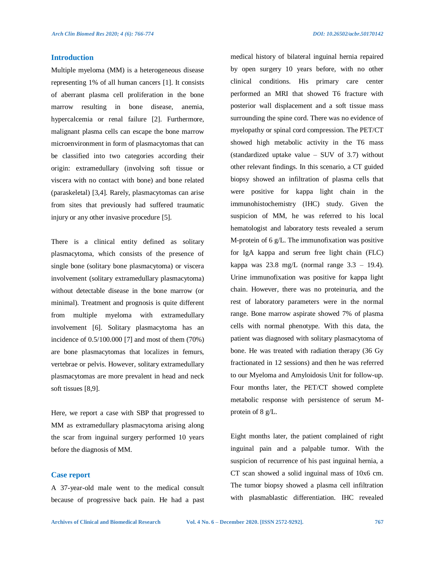#### **Introduction**

Multiple myeloma (MM) is a heterogeneous disease representing 1% of all human cancers [1]. It consists of aberrant plasma cell proliferation in the bone marrow resulting in bone disease, anemia, hypercalcemia or renal failure [2]. Furthermore, malignant plasma cells can escape the bone marrow microenvironment in form of plasmacytomas that can be classified into two categories according their origin: extramedullary (involving soft tissue or viscera with no contact with bone) and bone related (paraskeletal) [3,4]. Rarely, plasmacytomas can arise from sites that previously had suffered traumatic injury or any other invasive procedure [5].

There is a clinical entity defined as solitary plasmacytoma, which consists of the presence of single bone (solitary bone plasmacytoma) or viscera involvement (solitary extramedullary plasmacytoma) without detectable disease in the bone marrow (or minimal). Treatment and prognosis is quite different from multiple myeloma with extramedullary involvement [6]. Solitary plasmacytoma has an incidence of 0.5/100.000 [7] and most of them (70%) are bone plasmacytomas that localizes in femurs, vertebrae or pelvis. However, solitary extramedullary plasmacytomas are more prevalent in head and neck soft tissues [8,9].

Here, we report a case with SBP that progressed to MM as extramedullary plasmacytoma arising along the scar from inguinal surgery performed 10 years before the diagnosis of MM.

#### **Case report**

A 37-year-old male went to the medical consult because of progressive back pain. He had a past medical history of bilateral inguinal hernia repaired by open surgery 10 years before, with no other clinical conditions. His primary care center performed an MRI that showed T6 fracture with posterior wall displacement and a soft tissue mass surrounding the spine cord. There was no evidence of myelopathy or spinal cord compression. The PET/CT showed high metabolic activity in the T6 mass (standardized uptake value – SUV of 3.7) without other relevant findings. In this scenario, a CT guided biopsy showed an infiltration of plasma cells that were positive for kappa light chain in the immunohistochemistry (IHC) study. Given the suspicion of MM, he was referred to his local hematologist and laboratory tests revealed a serum M-protein of 6 g/L. The immunofixation was positive for IgA kappa and serum free light chain (FLC) kappa was  $23.8 \text{ mg/L}$  (normal range  $3.3 - 19.4$ ). Urine immunofixation was positive for kappa light chain. However, there was no proteinuria, and the rest of laboratory parameters were in the normal range. Bone marrow aspirate showed 7% of plasma cells with normal phenotype. With this data, the patient was diagnosed with solitary plasmacytoma of bone. He was treated with radiation therapy (36 Gy fractionated in 12 sessions) and then he was referred to our Myeloma and Amyloidosis Unit for follow-up. Four months later, the PET/CT showed complete metabolic response with persistence of serum Mprotein of 8 g/L.

Eight months later, the patient complained of right inguinal pain and a palpable tumor. With the suspicion of recurrence of his past inguinal hernia, a CT scan showed a solid inguinal mass of 10x6 cm. The tumor biopsy showed a plasma cell infiltration with plasmablastic differentiation. IHC revealed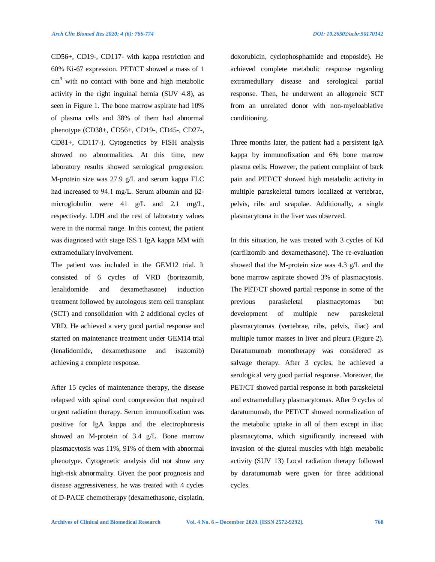CD56+, CD19-, CD117- with kappa restriction and 60% Ki-67 expression. PET/CT showed a mass of 1  $cm<sup>3</sup>$  with no contact with bone and high metabolic activity in the right inguinal hernia (SUV 4.8), as seen in Figure 1. The bone marrow aspirate had 10% of plasma cells and 38% of them had abnormal phenotype (CD38+, CD56+, CD19-, CD45-, CD27-, CD81+, CD117-). Cytogenetics by FISH analysis showed no abnormalities. At this time, new laboratory results showed serological progression: M-protein size was 27.9 g/L and serum kappa FLC had increased to 94.1 mg/L. Serum albumin and β2 microglobulin were 41 g/L and 2.1 mg/L, respectively. LDH and the rest of laboratory values were in the normal range. In this context, the patient was diagnosed with stage ISS 1 IgA kappa MM with extramedullary involvement.

The patient was included in the GEM12 trial. It consisted of 6 cycles of VRD (bortezomib, lenalidomide and dexamethasone) induction treatment followed by autologous stem cell transplant (SCT) and consolidation with 2 additional cycles of VRD. He achieved a very good partial response and started on maintenance treatment under GEM14 trial (lenalidomide, dexamethasone and ixazomib) achieving a complete response.

After 15 cycles of maintenance therapy, the disease relapsed with spinal cord compression that required urgent radiation therapy. Serum immunofixation was positive for IgA kappa and the electrophoresis showed an M-protein of 3.4 g/L. Bone marrow plasmacytosis was 11%, 91% of them with abnormal phenotype. Cytogenetic analysis did not show any high-risk abnormality. Given the poor prognosis and disease aggressiveness, he was treated with 4 cycles of D-PACE chemotherapy (dexamethasone, cisplatin,

doxorubicin, cyclophosphamide and etoposide). He achieved complete metabolic response regarding extramedullary disease and serological partial response. Then, he underwent an allogeneic SCT from an unrelated donor with non-myeloablative conditioning.

Three months later, the patient had a persistent IgA kappa by immunofixation and 6% bone marrow plasma cells. However, the patient complaint of back pain and PET/CT showed high metabolic activity in multiple paraskeletal tumors localized at vertebrae, pelvis, ribs and scapulae. Additionally, a single plasmacytoma in the liver was observed.

In this situation, he was treated with 3 cycles of Kd (carfilzomib and dexamethasone). The re-evaluation showed that the M-protein size was 4.3 g/L and the bone marrow aspirate showed 3% of plasmacytosis. The PET/CT showed partial response in some of the previous paraskeletal plasmacytomas but development of multiple new paraskeletal plasmacytomas (vertebrae, ribs, pelvis, iliac) and multiple tumor masses in liver and pleura (Figure 2). Daratumumab monotherapy was considered as salvage therapy. After 3 cycles, he achieved a serological very good partial response. Moreover, the PET/CT showed partial response in both paraskeletal and extramedullary plasmacytomas. After 9 cycles of daratumumab, the PET/CT showed normalization of the metabolic uptake in all of them except in iliac plasmacytoma, which significantly increased with invasion of the gluteal muscles with high metabolic activity (SUV 13) Local radiation therapy followed by daratumumab were given for three additional cycles.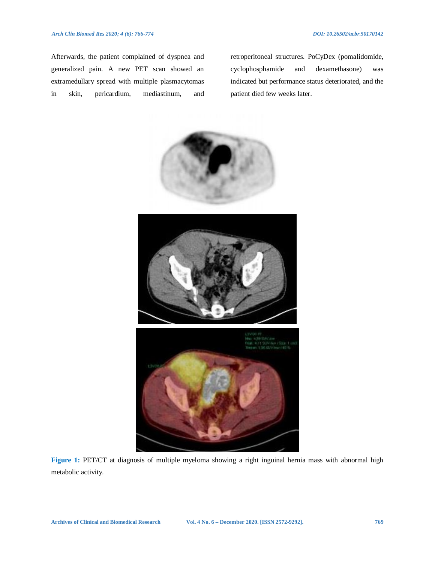Afterwards, the patient complained of dyspnea and generalized pain. A new PET scan showed an extramedullary spread with multiple plasmacytomas in skin, pericardium, mediastinum, and

retroperitoneal structures. PoCyDex (pomalidomide, cyclophosphamide and dexamethasone) was indicated but performance status deteriorated, and the patient died few weeks later.



**Figure 1:** PET/CT at diagnosis of multiple myeloma showing a right inguinal hernia mass with abnormal high metabolic activity.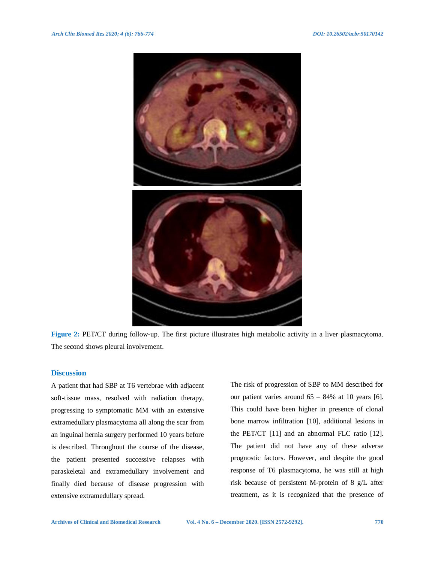

**Figure 2:** PET/CT during follow-up. The first picture illustrates high metabolic activity in a liver plasmacytoma. The second shows pleural involvement.

#### **Discussion**

A patient that had SBP at T6 vertebrae with adjacent soft-tissue mass, resolved with radiation therapy, progressing to symptomatic MM with an extensive extramedullary plasmacytoma all along the scar from an inguinal hernia surgery performed 10 years before is described. Throughout the course of the disease, the patient presented successive relapses with paraskeletal and extramedullary involvement and finally died because of disease progression with extensive extramedullary spread.

The risk of progression of SBP to MM described for our patient varies around  $65 - 84\%$  at 10 years [6]. This could have been higher in presence of clonal bone marrow infiltration [10], additional lesions in the PET/CT [11] and an abnormal FLC ratio [12]. The patient did not have any of these adverse prognostic factors. However, and despite the good response of T6 plasmacytoma, he was still at high risk because of persistent M-protein of 8 g/L after treatment, as it is recognized that the presence of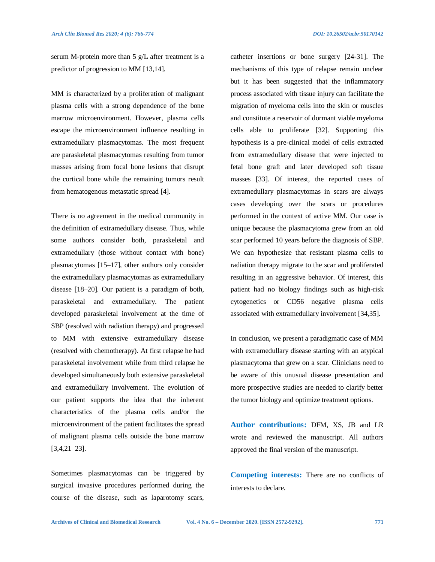serum M-protein more than 5 g/L after treatment is a predictor of progression to MM [13,14].

MM is characterized by a proliferation of malignant plasma cells with a strong dependence of the bone marrow microenvironment. However, plasma cells escape the microenvironment influence resulting in extramedullary plasmacytomas. The most frequent are paraskeletal plasmacytomas resulting from tumor masses arising from focal bone lesions that disrupt the cortical bone while the remaining tumors result from hematogenous metastatic spread [4].

There is no agreement in the medical community in the definition of extramedullary disease. Thus, while some authors consider both, paraskeletal and extramedullary (those without contact with bone) plasmacytomas [15–17], other authors only consider the extramedullary plasmacytomas as extramedullary disease [18–20]. Our patient is a paradigm of both, paraskeletal and extramedullary. The patient developed paraskeletal involvement at the time of SBP (resolved with radiation therapy) and progressed to MM with extensive extramedullary disease (resolved with chemotherapy). At first relapse he had paraskeletal involvement while from third relapse he developed simultaneously both extensive paraskeletal and extramedullary involvement. The evolution of our patient supports the idea that the inherent characteristics of the plasma cells and/or the microenvironment of the patient facilitates the spread of malignant plasma cells outside the bone marrow [3,4,21–23].

Sometimes plasmacytomas can be triggered by surgical invasive procedures performed during the course of the disease, such as laparotomy scars,

catheter insertions or bone surgery [24-31]. The mechanisms of this type of relapse remain unclear but it has been suggested that the inflammatory process associated with tissue injury can facilitate the migration of myeloma cells into the skin or muscles and constitute a reservoir of dormant viable myeloma cells able to proliferate [32]. Supporting this hypothesis is a pre-clinical model of cells extracted from extramedullary disease that were injected to fetal bone graft and later developed soft tissue masses [33]. Of interest, the reported cases of extramedullary plasmacytomas in scars are always cases developing over the scars or procedures performed in the context of active MM. Our case is unique because the plasmacytoma grew from an old scar performed 10 years before the diagnosis of SBP. We can hypothesize that resistant plasma cells to radiation therapy migrate to the scar and proliferated resulting in an aggressive behavior. Of interest, this patient had no biology findings such as high-risk cytogenetics or CD56 negative plasma cells associated with extramedullary involvement [34,35].

In conclusion, we present a paradigmatic case of MM with extramedullary disease starting with an atypical plasmacytoma that grew on a scar. Clinicians need to be aware of this unusual disease presentation and more prospective studies are needed to clarify better the tumor biology and optimize treatment options.

**Author contributions:** DFM, XS, JB and LR wrote and reviewed the manuscript. All authors approved the final version of the manuscript.

**Competing interests:** There are no conflicts of interests to declare.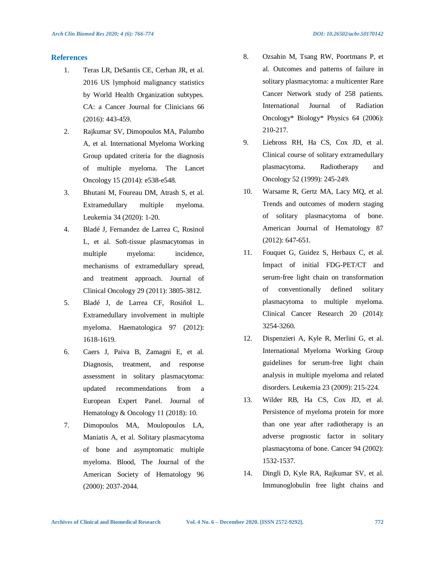#### **References**

- 1. Teras LR, DeSantis CE, Cerhan JR, et al. 2016 US lymphoid malignancy statistics by World Health Organization subtypes. CA: a Cancer Journal for Clinicians 66 (2016): 443-459.
- 2. Rajkumar SV, Dimopoulos MA, Palumbo A, et al. International Myeloma Working Group updated criteria for the diagnosis of multiple myeloma. The Lancet Oncology 15 (2014): e538-e548.
- 3. Bhutani M, Foureau DM, Atrash S, et al. Extramedullary multiple myeloma. Leukemia 34 (2020): 1-20.
- 4. Bladé J, Fernandez de Larrea C, Rosinol L, et al. Soft-tissue plasmacytomas in multiple myeloma: incidence, mechanisms of extramedullary spread, and treatment approach. Journal of Clinical Oncology 29 (2011): 3805-3812.
- 5. Bladé J, de Larrea CF, Rosiñol L. Extramedullary involvement in multiple myeloma. Haematologica 97 (2012): 1618-1619.
- 6. Caers J, Paiva B, Zamagni E, et al. Diagnosis, treatment, and response assessment in solitary plasmacytoma: updated recommendations from a European Expert Panel. Journal of Hematology & Oncology 11 (2018): 10.
- 7. Dimopoulos MA, Moulopoulos LA, Maniatis A, et al. Solitary plasmacytoma of bone and asymptomatic multiple myeloma. Blood, The Journal of the American Society of Hematology 96 (2000): 2037-2044.
- 8. Ozsahin M, Tsang RW, Poortmans P, et al. Outcomes and patterns of failure in solitary plasmacytoma: a multicenter Rare Cancer Network study of 258 patients. International Journal of Radiation Oncology\* Biology\* Physics 64 (2006): 210-217.
- 9. Liebross RH, Ha CS, Cox JD, et al. Clinical course of solitary extramedullary plasmacytoma. Radiotherapy and Oncology 52 (1999): 245-249.
- 10. Warsame R, Gertz MA, Lacy MQ, et al. Trends and outcomes of modern staging of solitary plasmacytoma of bone. American Journal of Hematology 87 (2012): 647-651.
- 11. Fouquet G, Guidez S, Herbaux C, et al. Impact of initial FDG-PET/CT and serum-free light chain on transformation of conventionally defined solitary plasmacytoma to multiple myeloma. Clinical Cancer Research 20 (2014): 3254-3260.
- 12. Dispenzieri A, Kyle R, Merlini G, et al. International Myeloma Working Group guidelines for serum-free light chain analysis in multiple myeloma and related disorders. Leukemia 23 (2009): 215-224.
- 13. Wilder RB, Ha CS, Cox JD, et al. Persistence of myeloma protein for more than one year after radiotherapy is an adverse prognostic factor in solitary plasmacytoma of bone. Cancer 94 (2002): 1532-1537.
- 14. Dingli D, Kyle RA, Rajkumar SV, et al. Immunoglobulin free light chains and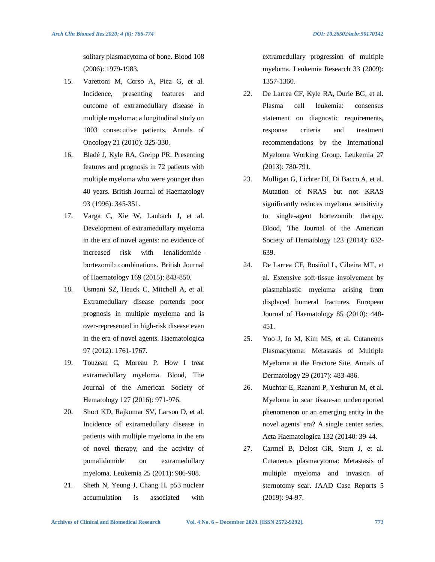solitary plasmacytoma of bone. Blood 108 (2006): 1979-1983.

- 15. Varettoni M, Corso A, Pica G, et al. Incidence, presenting features and outcome of extramedullary disease in multiple myeloma: a longitudinal study on 1003 consecutive patients. Annals of Oncology 21 (2010): 325-330.
- 16. Bladé J, Kyle RA, Greipp PR. Presenting features and prognosis in 72 patients with multiple myeloma who were younger than 40 years. British Journal of Haematology 93 (1996): 345-351.
- 17. Varga C, Xie W, Laubach J, et al. Development of extramedullary myeloma in the era of novel agents: no evidence of increased risk with lenalidomide– bortezomib combinations. British Journal of Haematology 169 (2015): 843-850.
- 18. Usmani SZ, Heuck C, Mitchell A, et al. Extramedullary disease portends poor prognosis in multiple myeloma and is over-represented in high-risk disease even in the era of novel agents. Haematologica 97 (2012): 1761-1767.
- 19. Touzeau C, Moreau P. How I treat extramedullary myeloma. Blood, The Journal of the American Society of Hematology 127 (2016): 971-976.
- 20. Short KD, Rajkumar SV, Larson D, et al. Incidence of extramedullary disease in patients with multiple myeloma in the era of novel therapy, and the activity of pomalidomide on extramedullary myeloma. Leukemia 25 (2011): 906-908.
- 21. Sheth N, Yeung J, Chang H. p53 nuclear accumulation is associated with

extramedullary progression of multiple myeloma. Leukemia Research 33 (2009): 1357-1360.

- 22. De Larrea CF, Kyle RA, Durie BG, et al. Plasma cell leukemia: consensus statement on diagnostic requirements, response criteria and treatment recommendations by the International Myeloma Working Group. Leukemia 27 (2013): 780-791.
- 23. Mulligan G, Lichter DI, Di Bacco A, et al. Mutation of NRAS but not KRAS significantly reduces myeloma sensitivity to single-agent bortezomib therapy. Blood, The Journal of the American Society of Hematology 123 (2014): 632- 639.
- 24. De Larrea CF, Rosiñol L, Cibeira MT, et al. Extensive soft‐tissue involvement by plasmablastic myeloma arising from displaced humeral fractures. European Journal of Haematology 85 (2010): 448- 451.
- 25. Yoo J, Jo M, Kim MS, et al. Cutaneous Plasmacytoma: Metastasis of Multiple Myeloma at the Fracture Site. Annals of Dermatology 29 (2017): 483-486.
- 26. Muchtar E, Raanani P, Yeshurun M, et al. Myeloma in scar tissue-an underreported phenomenon or an emerging entity in the novel agents' era? A single center series. Acta Haematologica 132 (20140: 39-44.
- 27. Carmel B, Delost GR, Stern J, et al. Cutaneous plasmacytoma: Metastasis of multiple myeloma and invasion of sternotomy scar. JAAD Case Reports 5 (2019): 94-97.